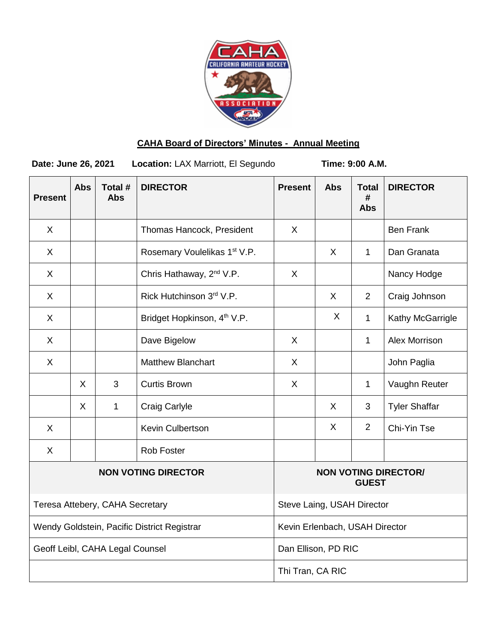

# **CAHA Board of Directors' Minutes - Annual Meeting**

Date: June 26, 2021 Location: LAX Marriott, El Segundo **Time: 9:00 A.M.** 

| <b>Present</b>                              | <b>Abs</b>   | Total #<br><b>Abs</b> | <b>DIRECTOR</b>                         | <b>Present</b>   | <b>Abs</b>   | <b>Total</b><br>#<br><b>Abs</b> | <b>DIRECTOR</b>      |
|---------------------------------------------|--------------|-----------------------|-----------------------------------------|------------------|--------------|---------------------------------|----------------------|
| $\sf X$                                     |              |                       | Thomas Hancock, President               | X                |              |                                 | <b>Ben Frank</b>     |
| $\sf X$                                     |              |                       | Rosemary Voulelikas 1st V.P.            |                  | $\sf X$      | $\mathbf{1}$                    | Dan Granata          |
| X                                           |              |                       | Chris Hathaway, 2 <sup>nd</sup> V.P.    | X                |              |                                 | Nancy Hodge          |
| $\sf X$                                     |              |                       | Rick Hutchinson 3rd V.P.                |                  | $\sf X$      | 2                               | Craig Johnson        |
| X                                           |              |                       | Bridget Hopkinson, 4 <sup>th</sup> V.P. |                  | $\sf X$      | $\mathbf{1}$                    | Kathy McGarrigle     |
| X                                           |              |                       | Dave Bigelow                            | X                |              | $\mathbf{1}$                    | Alex Morrison        |
| X                                           |              |                       | <b>Matthew Blanchart</b>                | X                |              |                                 | John Paglia          |
|                                             | X            | 3                     | <b>Curtis Brown</b>                     | X                |              | $\mathbf{1}$                    | Vaughn Reuter        |
|                                             | $\mathsf{X}$ | 1                     | <b>Craig Carlyle</b>                    |                  | X.           | 3                               | <b>Tyler Shaffar</b> |
| $\sf X$                                     |              |                       | Kevin Culbertson                        |                  | $\sf X$      | 2                               | Chi-Yin Tse          |
| $\sf X$                                     |              |                       | <b>Rob Foster</b>                       |                  |              |                                 |                      |
| <b>NON VOTING DIRECTOR</b>                  |              |                       |                                         |                  | <b>GUEST</b> | <b>NON VOTING DIRECTOR/</b>     |                      |
| Teresa Attebery, CAHA Secretary             |              |                       | Steve Laing, USAH Director              |                  |              |                                 |                      |
| Wendy Goldstein, Pacific District Registrar |              |                       | Kevin Erlenbach, USAH Director          |                  |              |                                 |                      |
| Geoff Leibl, CAHA Legal Counsel             |              |                       | Dan Ellison, PD RIC                     |                  |              |                                 |                      |
|                                             |              |                       |                                         | Thi Tran, CA RIC |              |                                 |                      |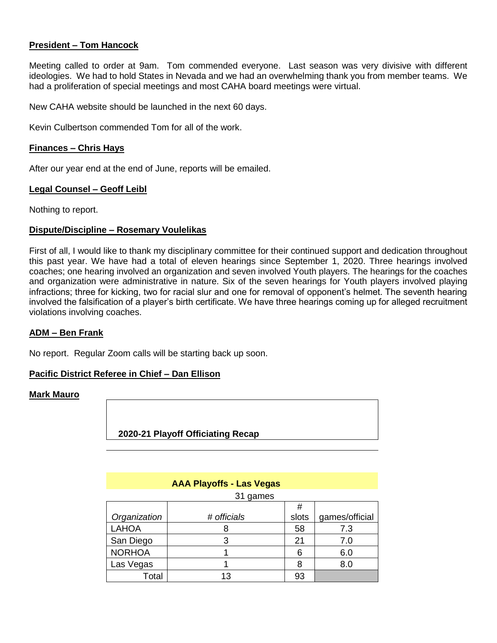# **President – Tom Hancock**

Meeting called to order at 9am. Tom commended everyone. Last season was very divisive with different ideologies. We had to hold States in Nevada and we had an overwhelming thank you from member teams. We had a proliferation of special meetings and most CAHA board meetings were virtual.

New CAHA website should be launched in the next 60 days.

Kevin Culbertson commended Tom for all of the work.

#### **Finances – Chris Hays**

After our year end at the end of June, reports will be emailed.

#### **Legal Counsel – Geoff Leibl**

Nothing to report.

#### **Dispute/Discipline – Rosemary Voulelikas**

First of all, I would like to thank my disciplinary committee for their continued support and dedication throughout this past year. We have had a total of eleven hearings since September 1, 2020. Three hearings involved coaches; one hearing involved an organization and seven involved Youth players. The hearings for the coaches and organization were administrative in nature. Six of the seven hearings for Youth players involved playing infractions; three for kicking, two for racial slur and one for removal of opponent's helmet. The seventh hearing involved the falsification of a player's birth certificate. We have three hearings coming up for alleged recruitment violations involving coaches.

#### **ADM – Ben Frank**

No report. Regular Zoom calls will be starting back up soon.

# **Pacific District Referee in Chief – Dan Ellison**

#### **Mark Mauro**

 **2020-21 Playoff Officiating Recap**

# **AAA Playoffs - Las Vegas**

31 games

|               |             | #     |                |
|---------------|-------------|-------|----------------|
| Organization  | # officials | slots | games/official |
| <b>LAHOA</b>  |             | 58    | 7.3            |
| San Diego     |             | 21    | 7.0            |
| <b>NORHOA</b> |             |       | 6.0            |
| Las Vegas     |             |       | 8.0            |
| Total         |             |       |                |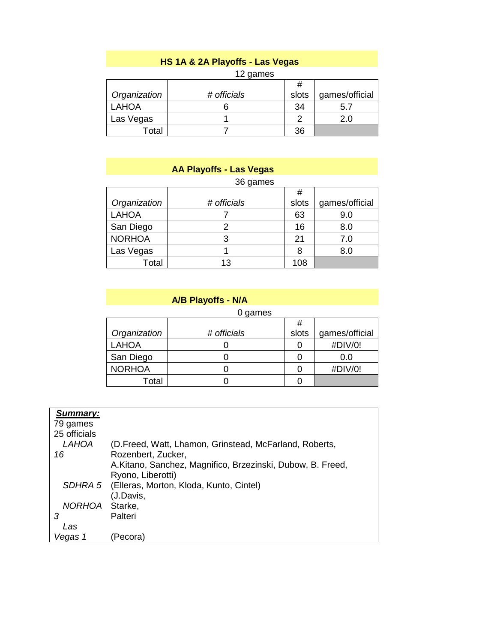# **HS 1A & 2A Playoffs - Las Vegas**

| 12 games |
|----------|
|          |

| Organization | # officials | slots | games/official |
|--------------|-------------|-------|----------------|
| <b>LAHOA</b> |             | 34    |                |
| Las Vegas    |             |       |                |
| Total        |             | วค    |                |

|               | <b>AA Playoffs - Las Vegas</b> |       |                |
|---------------|--------------------------------|-------|----------------|
|               | 36 games                       |       |                |
|               |                                | #     |                |
| Organization  | # officials                    | slots | games/official |
| <b>LAHOA</b>  |                                | 63    | 9.0            |
| San Diego     | 2                              | 16    | 8.0            |
| <b>NORHOA</b> | 3                              | 21    | 7.0            |
| Las Vegas     |                                | 8     | 8.0            |
| Total         | 13                             | 108   |                |

# **A/B Playoffs - N/A**

|               | 0 games     |       |                |
|---------------|-------------|-------|----------------|
|               |             | #     |                |
| Organization  | # officials | slots | games/official |
| <b>LAHOA</b>  |             |       | #DIV/0!        |
| San Diego     |             |       | 0.0            |
| <b>NORHOA</b> |             |       | #DIV/0!        |
| Total         |             |       |                |

| Summary:       |                                                            |
|----------------|------------------------------------------------------------|
| 79 games       |                                                            |
| 25 officials   |                                                            |
| <b>LAHOA</b>   | (D.Freed, Watt, Lhamon, Grinstead, McFarland, Roberts,     |
| 16             | Rozenbert, Zucker,                                         |
|                | A.Kitano, Sanchez, Magnifico, Brzezinski, Dubow, B. Freed, |
|                | Ryono, Liberotti)                                          |
|                | SDHRA 5 (Elleras, Morton, Kloda, Kunto, Cintel)            |
|                | (J.Davis,                                                  |
| NORHOA Starke, |                                                            |
| З              | Palteri                                                    |
| Las            |                                                            |
| egas 1         | Pecora)                                                    |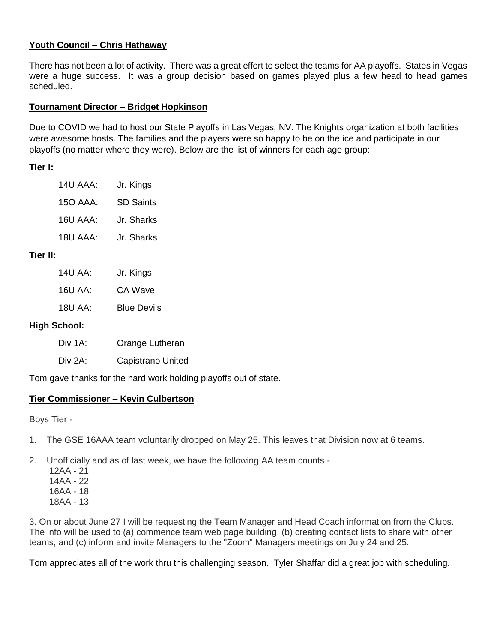# **Youth Council – Chris Hathaway**

There has not been a lot of activity. There was a great effort to select the teams for AA playoffs. States in Vegas were a huge success. It was a group decision based on games played plus a few head to head games scheduled.

# **Tournament Director – Bridget Hopkinson**

Due to COVID we had to host our State Playoffs in Las Vegas, NV. The Knights organization at both facilities were awesome hosts. The families and the players were so happy to be on the ice and participate in our playoffs (no matter where they were). Below are the list of winners for each age group:

# **Tier I:**

| 14U AAA: | Jr. Kings        |
|----------|------------------|
| 15O AAA: | <b>SD Saints</b> |
| 16U AAA: | Jr. Sharks       |
| 18U AAA: | Jr. Sharks       |
|          |                  |

# **Tier II:**

| Jr. Kings          |
|--------------------|
| CA Wave            |
| <b>Blue Devils</b> |
|                    |

# **High School:**

| Div 1A: | Orange Lutheran   |
|---------|-------------------|
| Div 2A: | Capistrano United |

Tom gave thanks for the hard work holding playoffs out of state.

# **Tier Commissioner – Kevin Culbertson**

Boys Tier -

1. The GSE 16AAA team voluntarily dropped on May 25. This leaves that Division now at 6 teams.

2. Unofficially and as of last week, we have the following AA team counts -

 12AA - 21 14AA - 22 16AA - 18 18AA - 13

3. On or about June 27 I will be requesting the Team Manager and Head Coach information from the Clubs. The info will be used to (a) commence team web page building, (b) creating contact lists to share with other teams, and (c) inform and invite Managers to the "Zoom" Managers meetings on July 24 and 25.

Tom appreciates all of the work thru this challenging season. Tyler Shaffar did a great job with scheduling.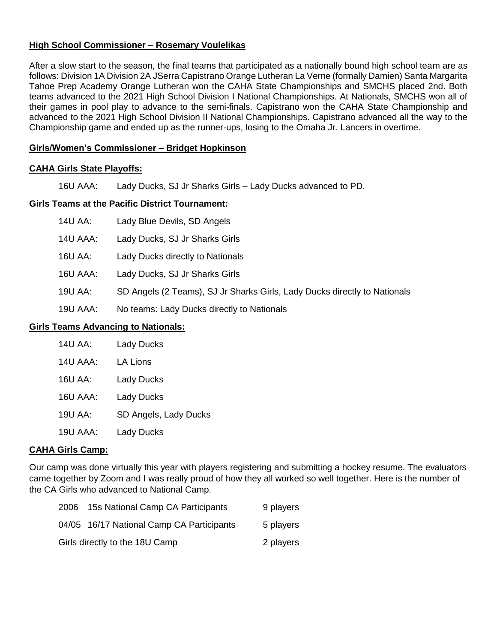# **High School Commissioner – Rosemary Voulelikas**

After a slow start to the season, the final teams that participated as a nationally bound high school team are as follows: Division 1A Division 2A JSerra Capistrano Orange Lutheran La Verne (formally Damien) Santa Margarita Tahoe Prep Academy Orange Lutheran won the CAHA State Championships and SMCHS placed 2nd. Both teams advanced to the 2021 High School Division I National Championships. At Nationals, SMCHS won all of their games in pool play to advance to the semi-finals. Capistrano won the CAHA State Championship and advanced to the 2021 High School Division II National Championships. Capistrano advanced all the way to the Championship game and ended up as the runner-ups, losing to the Omaha Jr. Lancers in overtime.

### **Girls/Women's Commissioner – Bridget Hopkinson**

#### **CAHA Girls State Playoffs:**

16U AAA: Lady Ducks, SJ Jr Sharks Girls – Lady Ducks advanced to PD.

#### **Girls Teams at the Pacific District Tournament:**

| 14U AA: | Lady Blue Devils, SD Angels |  |
|---------|-----------------------------|--|
|---------|-----------------------------|--|

- 14U AAA: Lady Ducks, SJ Jr Sharks Girls
- 16U AA: Lady Ducks directly to Nationals
- 16U AAA: Lady Ducks, SJ Jr Sharks Girls
- 19U AA: SD Angels (2 Teams), SJ Jr Sharks Girls, Lady Ducks directly to Nationals
- 19U AAA: No teams: Lady Ducks directly to Nationals

#### **Girls Teams Advancing to Nationals:**

| <b>14U AA:</b> | <b>Lady Ducks</b>     |
|----------------|-----------------------|
| 14U AAA:       | <b>LA Lions</b>       |
| 16U AA:        | <b>Lady Ducks</b>     |
| 16U AAA:       | <b>Lady Ducks</b>     |
| 19U AA:        | SD Angels, Lady Ducks |
| 19U AAA:       | <b>Lady Ducks</b>     |

#### **CAHA Girls Camp:**

Our camp was done virtually this year with players registering and submitting a hockey resume. The evaluators came together by Zoom and I was really proud of how they all worked so well together. Here is the number of the CA Girls who advanced to National Camp.

| 2006                           | 15s National Camp CA Participants         | 9 players |
|--------------------------------|-------------------------------------------|-----------|
|                                | 04/05 16/17 National Camp CA Participants | 5 players |
| Girls directly to the 18U Camp |                                           | 2 players |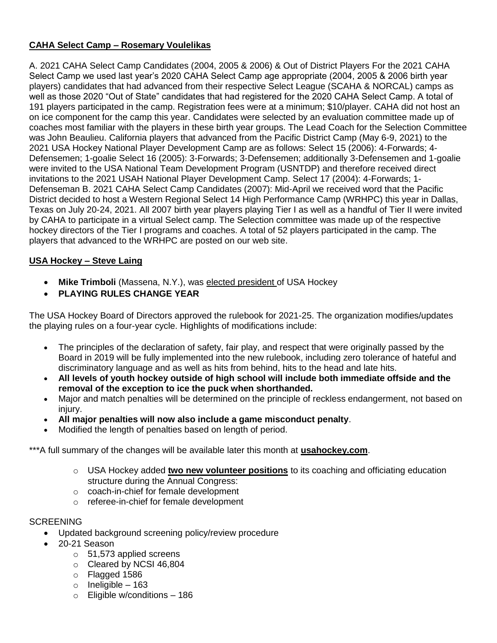# **CAHA Select Camp – Rosemary Voulelikas**

A. 2021 CAHA Select Camp Candidates (2004, 2005 & 2006) & Out of District Players For the 2021 CAHA Select Camp we used last year's 2020 CAHA Select Camp age appropriate (2004, 2005 & 2006 birth year players) candidates that had advanced from their respective Select League (SCAHA & NORCAL) camps as well as those 2020 "Out of State" candidates that had registered for the 2020 CAHA Select Camp. A total of 191 players participated in the camp. Registration fees were at a minimum; \$10/player. CAHA did not host an on ice component for the camp this year. Candidates were selected by an evaluation committee made up of coaches most familiar with the players in these birth year groups. The Lead Coach for the Selection Committee was John Beaulieu. California players that advanced from the Pacific District Camp (May 6-9, 2021) to the 2021 USA Hockey National Player Development Camp are as follows: Select 15 (2006): 4-Forwards; 4- Defensemen; 1-goalie Select 16 (2005): 3-Forwards; 3-Defensemen; additionally 3-Defensemen and 1-goalie were invited to the USA National Team Development Program (USNTDP) and therefore received direct invitations to the 2021 USAH National Player Development Camp. Select 17 (2004): 4-Forwards; 1- Defenseman B. 2021 CAHA Select Camp Candidates (2007): Mid-April we received word that the Pacific District decided to host a Western Regional Select 14 High Performance Camp (WRHPC) this year in Dallas, Texas on July 20-24, 2021. All 2007 birth year players playing Tier I as well as a handful of Tier II were invited by CAHA to participate in a virtual Select camp. The Selection committee was made up of the respective hockey directors of the Tier I programs and coaches. A total of 52 players participated in the camp. The players that advanced to the WRHPC are posted on our web site.

# **USA Hockey – Steve Laing**

- **Mike Trimboli** (Massena, N.Y.), was [elected president](https://links.usahockeyemails.org/a/1457/click/501/340675/2bc7ba2184fa23faf0f0b335b250c247e582b5f7/e7bfa152152d54d378c469d819deda98c6c64e7d) of USA Hockey
- **PLAYING RULES CHANGE YEAR**

The USA Hockey Board of Directors approved the rulebook for 2021-25. The organization modifies/updates the playing rules on a four-year cycle. Highlights of modifications include:

- The principles of the declaration of safety, fair play, and respect that were originally passed by the Board in 2019 will be fully implemented into the new rulebook, including zero tolerance of hateful and discriminatory language and as well as hits from behind, hits to the head and late hits.
- **All levels of youth hockey outside of high school will include both immediate offside and the removal of the exception to ice the puck when shorthanded.**
- Major and match penalties will be determined on the principle of reckless endangerment, not based on iniury.
- **All major penalties will now also include a game misconduct penalty**.
- Modified the length of penalties based on length of period.

\*\*\*A full summary of the changes will be available later this month at **[usahockey.com](https://links.usahockeyemails.org/a/1457/click/487/217098/6e7a5372090506f3b59c0b553408d93108de72ee/c097ad2415a9708e3adbb5c941587504a66af882)**.

- o USA Hockey added **[two new volunteer positions](https://www.usahockey.com/news_article/show/1168717?referrer_id=836196)** to its coaching and officiating education structure during the Annual Congress:
- o coach-in-chief for female development
- o referee-in-chief for female development

# **SCREENING**

- Updated background screening policy/review procedure
- 20-21 Season
	- o 51,573 applied screens
	- o Cleared by NCSI 46,804
	- o Flagged 1586
	- $\circ$  Ineligible 163
	- o Eligible w/conditions 186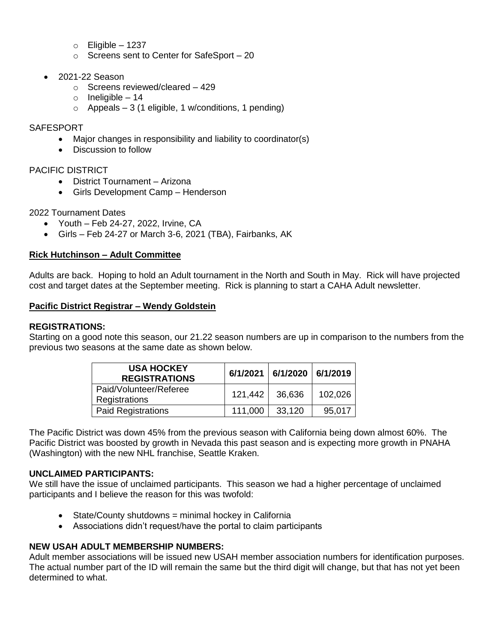- $\circ$  Eligible 1237
- o Screens sent to Center for SafeSport 20
- 2021-22 Season
	- o Screens reviewed/cleared 429
	- $\circ$  Ineligible 14
	- $\circ$  Appeals 3 (1 eligible, 1 w/conditions, 1 pending)

#### SAFESPORT

- Major changes in responsibility and liability to coordinator(s)
- Discussion to follow

# PACIFIC DISTRICT

- District Tournament Arizona
- Girls Development Camp Henderson

#### 2022 Tournament Dates

- Youth Feb 24-27, 2022, Irvine, CA
- Girls Feb 24-27 or March 3-6, 2021 (TBA), Fairbanks, AK

#### **Rick Hutchinson – Adult Committee**

Adults are back. Hoping to hold an Adult tournament in the North and South in May. Rick will have projected cost and target dates at the September meeting. Rick is planning to start a CAHA Adult newsletter.

#### **Pacific District Registrar – Wendy Goldstein**

#### **REGISTRATIONS:**

Starting on a good note this season, our 21.22 season numbers are up in comparison to the numbers from the previous two seasons at the same date as shown below.

| <b>USA HOCKEY</b><br><b>REGISTRATIONS</b> |                | $6/1/2021$   $6/1/2020$   $6/1/2019$ |         |
|-------------------------------------------|----------------|--------------------------------------|---------|
| Paid/Volunteer/Referee<br>Registrations   | 121,442 36,636 |                                      | 102,026 |
| <b>Paid Registrations</b>                 | 111,000        | 33,120                               | 95,017  |

The Pacific District was down 45% from the previous season with California being down almost 60%. The Pacific District was boosted by growth in Nevada this past season and is expecting more growth in PNAHA (Washington) with the new NHL franchise, Seattle Kraken.

# **UNCLAIMED PARTICIPANTS:**

We still have the issue of unclaimed participants. This season we had a higher percentage of unclaimed participants and I believe the reason for this was twofold:

- State/County shutdowns = minimal hockey in California
- Associations didn't request/have the portal to claim participants

#### **NEW USAH ADULT MEMBERSHIP NUMBERS:**

Adult member associations will be issued new USAH member association numbers for identification purposes. The actual number part of the ID will remain the same but the third digit will change, but that has not yet been determined to what.